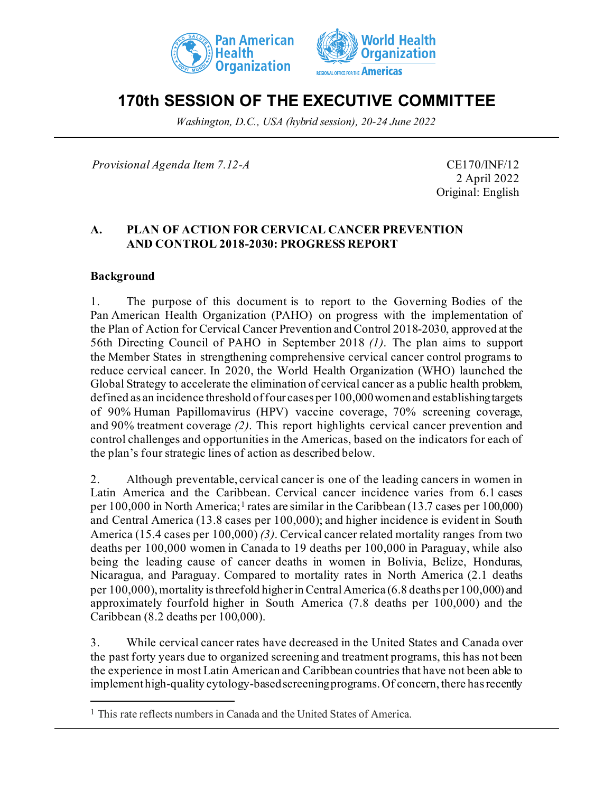



# **170th SESSION OF THE EXECUTIVE COMMITTEE**

*Washington, D.C., USA (hybrid session), 20-24 June 2022*

*Provisional Agenda Item 7.12-A* CE170/INF/12

2 April 2022 Original: English

## **A. PLAN OF ACTION FOR CERVICAL CANCER PREVENTION AND CONTROL 2018-2030: PROGRESS REPORT**

#### **Background**

1. The purpose of this document is to report to the Governing Bodies of the Pan American Health Organization (PAHO) on progress with the implementation of the Plan of Action for Cervical Cancer Prevention and Control 2018-2030, approved at the 56th Directing Council of PAHO in September 2018 *(1)*. The plan aims to support the Member States in strengthening comprehensive cervical cancer control programs to reduce cervical cancer. In 2020, the World Health Organization (WHO) launched the Global Strategy to accelerate the elimination of cervical cancer as a public health problem, defined as an incidence threshold of four cases per 100,000 womenand establishing targets of 90% Human Papillomavirus (HPV) vaccine coverage, 70% screening coverage, and 90% treatment coverage *(2)*. This report highlights cervical cancer prevention and control challenges and opportunities in the Americas, based on the indicators for each of the plan's four strategic lines of action as described below.

2. Although preventable, cervical cancer is one of the leading cancers in women in Latin America and the Caribbean. Cervical cancer incidence varies from 6.1 cases per [1](#page-0-0)00,000 in North America;<sup>1</sup> rates are similar in the Caribbean (13.7 cases per 100,000) and Central America (13.8 cases per 100,000); and higher incidence is evident in South America (15.4 cases per 100,000) *(3)*. Cervical cancer related mortality ranges from two deaths per 100,000 women in Canada to 19 deaths per 100,000 in Paraguay, while also being the leading cause of cancer deaths in women in Bolivia, Belize, Honduras, Nicaragua, and Paraguay. Compared to mortality rates in North America (2.1 deaths per 100,000), mortality is threefold higher in Central America (6.8 deaths per 100,000) and approximately fourfold higher in South America (7.8 deaths per 100,000) and the Caribbean (8.2 deaths per 100,000).

3. While cervical cancer rates have decreased in the United States and Canada over the past forty years due to organized screening and treatment programs, this has not been the experience in most Latin American and Caribbean countries that have not been able to implement high-quality cytology-based screening programs. Of concern, there has recently

<span id="page-0-0"></span><sup>1</sup> This rate reflects numbers in Canada and the United States of America.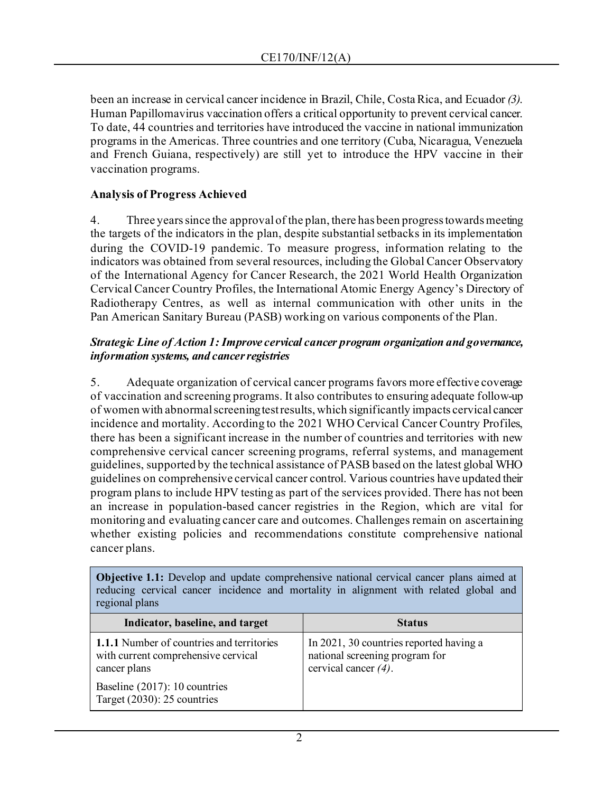been an increase in cervical cancer incidence in Brazil, Chile, Costa Rica, and Ecuador *(3)*. Human Papillomavirus vaccination offers a critical opportunity to prevent cervical cancer. To date, 44 countries and territories have introduced the vaccine in national immunization programs in the Americas. Three countries and one territory (Cuba, Nicaragua, Venezuela and French Guiana, respectively) are still yet to introduce the HPV vaccine in their vaccination programs.

## **Analysis of Progress Achieved**

4. Three years since the approval of the plan, there has been progress towards meeting the targets of the indicators in the plan, despite substantial setbacks in its implementation during the COVID-19 pandemic. To measure progress, information relating to the indicators was obtained from several resources, including the Global Cancer Observatory of the International Agency for Cancer Research, the 2021 World Health Organization Cervical Cancer Country Profiles, the International Atomic Energy Agency's Directory of Radiotherapy Centres, as well as internal communication with other units in the Pan American Sanitary Bureau (PASB) working on various components of the Plan.

#### *Strategic Line of Action 1: Improve cervical cancer program organization and governance, information systems, and cancer registries*

5. Adequate organization of cervical cancer programs favors more effective coverage of vaccination and screening programs. It also contributes to ensuring adequate follow-up of women with abnormal screening test results, which significantly impacts cervical cancer incidence and mortality. According to the 2021 WHO Cervical Cancer Country Profiles, there has been a significant increase in the number of countries and territories with new comprehensive cervical cancer screening programs, referral systems, and management guidelines, supported by the technical assistance of PASB based on the latest global WHO guidelines on comprehensive cervical cancer control. Various countries have updated their program plans to include HPV testing as part of the services provided. There has not been an increase in population-based cancer registries in the Region, which are vital for monitoring and evaluating cancer care and outcomes. Challenges remain on ascertaining whether existing policies and recommendations constitute comprehensive national cancer plans.

**Objective 1.1:** Develop and update comprehensive national cervical cancer plans aimed at reducing cervical cancer incidence and mortality in alignment with related global and regional plans

| Indicator, baseline, and target                                                                         | <b>Status</b>                                                                                        |
|---------------------------------------------------------------------------------------------------------|------------------------------------------------------------------------------------------------------|
| <b>1.1.1</b> Number of countries and territories<br>with current comprehensive cervical<br>cancer plans | In 2021, 30 countries reported having a<br>national screening program for<br>cervical cancer $(4)$ . |
| Baseline (2017): 10 countries<br>Target (2030): 25 countries                                            |                                                                                                      |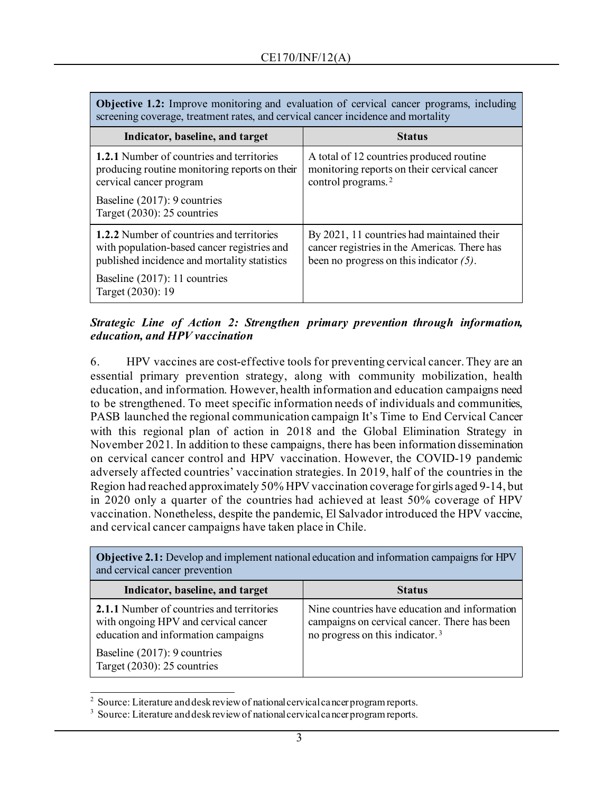| <b>Objective 1.2:</b> Improve monitoring and evaluation of cervical cancer programs, including<br>screening coverage, treatment rates, and cervical cancer incidence and mortality |                                                                                                                                          |  |
|------------------------------------------------------------------------------------------------------------------------------------------------------------------------------------|------------------------------------------------------------------------------------------------------------------------------------------|--|
| Indicator, baseline, and target                                                                                                                                                    | <b>Status</b>                                                                                                                            |  |
| <b>1.2.1</b> Number of countries and territories<br>producing routine monitoring reports on their<br>cervical cancer program                                                       | A total of 12 countries produced routine<br>monitoring reports on their cervical cancer<br>control programs. <sup>2</sup>                |  |
| Baseline (2017): 9 countries<br>Target $(2030)$ : 25 countries                                                                                                                     |                                                                                                                                          |  |
| 1.2.2 Number of countries and territories<br>with population-based cancer registries and<br>published incidence and mortality statistics                                           | By 2021, 11 countries had maintained their<br>cancer registries in the Americas. There has<br>been no progress on this indicator $(5)$ . |  |
| Baseline (2017): 11 countries<br>Target (2030): 19                                                                                                                                 |                                                                                                                                          |  |

**Objective 1.2:** Improve monitoring and evaluation of cervical cancer programs, including

#### *Strategic Line of Action 2: Strengthen primary prevention through information, education, and HPV vaccination*

6. HPV vaccines are cost-effective tools for preventing cervical cancer. They are an essential primary prevention strategy, along with community mobilization, health education, and information. However, health information and education campaigns need to be strengthened. To meet specific information needs of individuals and communities, PASB launched the regional communication campaign It's Time to End Cervical Cancer with this regional plan of action in 2018 and the Global Elimination Strategy in November 2021. In addition to these campaigns, there has been information dissemination on cervical cancer control and HPV vaccination. However, the COVID-19 pandemic adversely affected countries' vaccination strategies. In 2019, half of the countries in the Region had reached approximately 50% HPV vaccination coverage for girls aged 9-14, but in 2020 only a quarter of the countries had achieved at least 50% coverage of HPV vaccination. Nonetheless, despite the pandemic, El Salvador introduced the HPV vaccine, and cervical cancer campaigns have taken place in Chile.

| <b>Objective 2.1:</b> Develop and implement national education and information campaigns for HPV<br>and cervical cancer prevention |                                                                                                                                              |  |
|------------------------------------------------------------------------------------------------------------------------------------|----------------------------------------------------------------------------------------------------------------------------------------------|--|
| Indicator, baseline, and target                                                                                                    | <b>Status</b>                                                                                                                                |  |
| 2.1.1 Number of countries and territories<br>with ongoing HPV and cervical cancer<br>education and information campaigns           | Nine countries have education and information<br>campaigns on cervical cancer. There has been<br>no progress on this indicator. <sup>3</sup> |  |
| Baseline (2017): 9 countries<br>Target $(2030)$ : 25 countries                                                                     |                                                                                                                                              |  |

**Objective 2.1:** Develop and implement national education and information campaigns for HPV

<sup>&</sup>lt;sup>2</sup> Source: Literature and desk review of national cervical cancer program reports.

<span id="page-2-1"></span><span id="page-2-0"></span>Source: Literature and desk review of national cervical cancer program reports.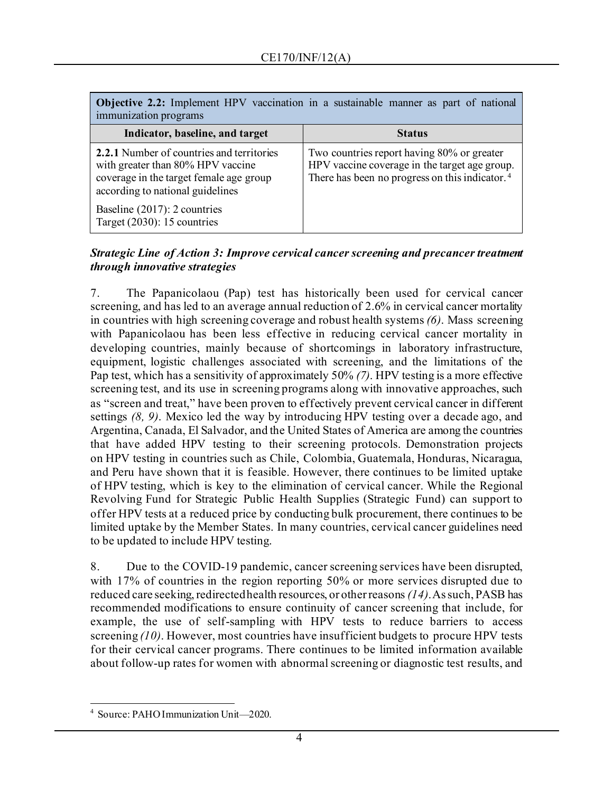| Objective 2.2: Implement HPV vaccination in a sustainable manner as part of national<br>immunization programs                                                        |                                                                                                                                                           |  |
|----------------------------------------------------------------------------------------------------------------------------------------------------------------------|-----------------------------------------------------------------------------------------------------------------------------------------------------------|--|
| Indicator, baseline, and target                                                                                                                                      | <b>Status</b>                                                                                                                                             |  |
| <b>2.2.1</b> Number of countries and territories<br>with greater than 80% HPV vaccine<br>coverage in the target female age group<br>according to national guidelines | Two countries report having 80% or greater<br>HPV vaccine coverage in the target age group.<br>There has been no progress on this indicator. <sup>4</sup> |  |
| Baseline (2017): 2 countries<br>Target $(2030)$ : 15 countries                                                                                                       |                                                                                                                                                           |  |

## *Strategic Line of Action 3: Improve cervical cancer screening and precancer treatment through innovative strategies*

7. The Papanicolaou (Pap) test has historically been used for cervical cancer screening, and has led to an average annual reduction of 2.6% in cervical cancer mortality in countries with high screening coverage and robust health systems *(6)*. Mass screening with Papanicolaou has been less effective in reducing cervical cancer mortality in developing countries, mainly because of shortcomings in laboratory infrastructure, equipment, logistic challenges associated with screening, and the limitations of the Pap test, which has a sensitivity of approximately 50% *(7)*. HPV testing is a more effective screening test, and its use in screening programs along with innovative approaches, such as "screen and treat," have been proven to effectively prevent cervical cancer in different settings *(8, 9)*. Mexico led the way by introducing HPV testing over a decade ago, and Argentina, Canada, El Salvador, and the United States of America are among the countries that have added HPV testing to their screening protocols. Demonstration projects on HPV testing in countries such as Chile, Colombia, Guatemala, Honduras, Nicaragua, and Peru have shown that it is feasible. However, there continues to be limited uptake of HPV testing, which is key to the elimination of cervical cancer. While the Regional Revolving Fund for Strategic Public Health Supplies (Strategic Fund) can support to offer HPV tests at a reduced price by conducting bulk procurement, there continues to be limited uptake by the Member States. In many countries, cervical cancer guidelines need to be updated to include HPV testing.

8. Due to the COVID-19 pandemic, cancer screening services have been disrupted, with 17% of countries in the region reporting 50% or more services disrupted due to reduced care seeking, redirected health resources, or other reasons *(14)*. As such, PASB has recommended modifications to ensure continuity of cancer screening that include, for example, the use of self-sampling with HPV tests to reduce barriers to access screening *(10)*. However, most countries have insufficient budgets to procure HPV tests for their cervical cancer programs. There continues to be limited information available about follow-up rates for women with abnormal screening or diagnostic test results, and

<span id="page-3-0"></span>Source: PAHO Immunization Unit—2020.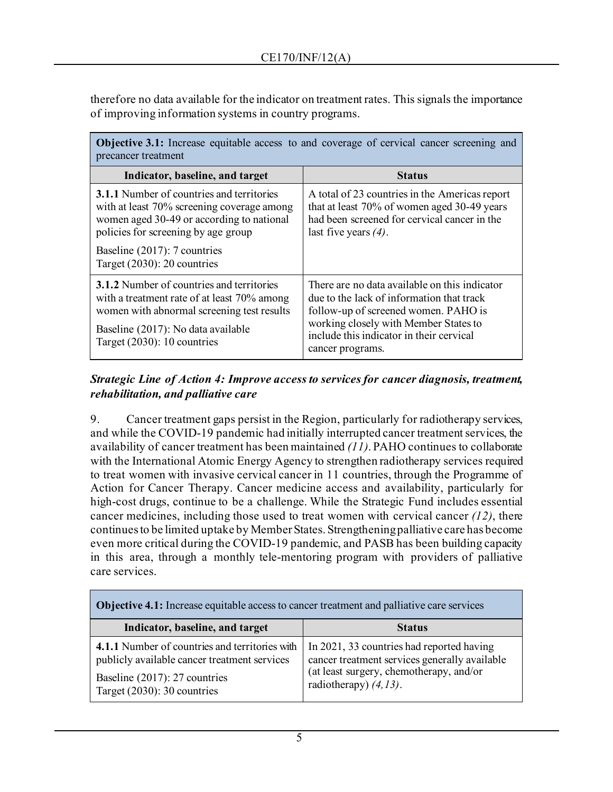therefore no data available for the indicator on treatment rates. This signals the importance of improving information systems in country programs.

| <b>Objective 3.1:</b> Increase equitable access to and coverage of cervical cancer screening and<br>precancer treatment                                                                                                                              |                                                                                                                                                                                                                                             |  |
|------------------------------------------------------------------------------------------------------------------------------------------------------------------------------------------------------------------------------------------------------|---------------------------------------------------------------------------------------------------------------------------------------------------------------------------------------------------------------------------------------------|--|
| Indicator, baseline, and target                                                                                                                                                                                                                      | <b>Status</b>                                                                                                                                                                                                                               |  |
| <b>3.1.1</b> Number of countries and territories<br>with at least 70% screening coverage among<br>women aged 30-49 or according to national<br>policies for screening by age group<br>Baseline (2017): 7 countries<br>Target $(2030)$ : 20 countries | A total of 23 countries in the Americas report<br>that at least 70% of women aged 30-49 years<br>had been screened for cervical cancer in the<br>last five years $(4)$ .                                                                    |  |
| <b>3.1.2</b> Number of countries and territories<br>with a treatment rate of at least 70% among<br>women with abnormal screening test results<br>Baseline (2017): No data available<br>Target $(2030)$ : 10 countries                                | There are no data available on this indicator<br>due to the lack of information that track<br>follow-up of screened women. PAHO is<br>working closely with Member States to<br>include this indicator in their cervical<br>cancer programs. |  |

## *Strategic Line of Action 4: Improve access to services for cancer diagnosis, treatment, rehabilitation, and palliative care*

9. Cancer treatment gaps persist in the Region, particularly for radiotherapy services, and while the COVID-19 pandemic had initially interrupted cancer treatment services, the availability of cancer treatment has been maintained *(11)*. PAHO continues to collaborate with the International Atomic Energy Agency to strengthen radiotherapy services required to treat women with invasive cervical cancer in 11 countries, through the Programme of Action for Cancer Therapy. Cancer medicine access and availability, particularly for high-cost drugs, continue to be a challenge. While the Strategic Fund includes essential cancer medicines, including those used to treat women with cervical cancer *(12)*, there continues to be limited uptake by Member States. Strengthening palliative care has become even more critical during the COVID-19 pandemic, and PASB has been building capacity in this area, through a monthly tele-mentoring program with providers of palliative care services.

| <b>Objective 4.1:</b> Increase equitable access to cancer treatment and palliative care services                                                                  |                                                                                                                                                                    |  |
|-------------------------------------------------------------------------------------------------------------------------------------------------------------------|--------------------------------------------------------------------------------------------------------------------------------------------------------------------|--|
| Indicator, baseline, and target                                                                                                                                   | <b>Status</b>                                                                                                                                                      |  |
| 4.1.1 Number of countries and territories with<br>publicly available cancer treatment services<br>Baseline (2017): 27 countries<br>Target $(2030)$ : 30 countries | In 2021, 33 countries had reported having<br>cancer treatment services generally available<br>(at least surgery, chemotherapy, and/or<br>radiotherapy) $(4, 13)$ . |  |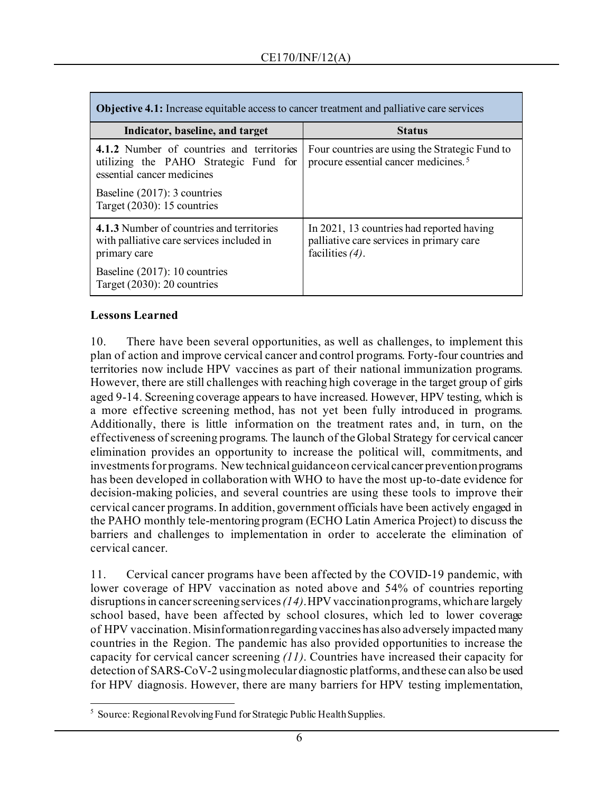| <b>Objective 4.1:</b> Increase equitable access to cancer treatment and palliative care services                                                 |                                                                                                             |  |
|--------------------------------------------------------------------------------------------------------------------------------------------------|-------------------------------------------------------------------------------------------------------------|--|
| Indicator, baseline, and target                                                                                                                  | <b>Status</b>                                                                                               |  |
| 4.1.2 Number of countries and territories<br>utilizing the PAHO Strategic Fund for<br>essential cancer medicines<br>Baseline (2017): 3 countries | Four countries are using the Strategic Fund to<br>procure essential cancer medicines. <sup>5</sup>          |  |
| Target $(2030)$ : 15 countries                                                                                                                   |                                                                                                             |  |
| 4.1.3 Number of countries and territories<br>with palliative care services included in<br>primary care                                           | In 2021, 13 countries had reported having<br>palliative care services in primary care<br>facilities $(4)$ . |  |
| Baseline (2017): 10 countries<br>Target $(2030)$ : 20 countries                                                                                  |                                                                                                             |  |

#### **Lessons Learned**

10. There have been several opportunities, as well as challenges, to implement this plan of action and improve cervical cancer and control programs. Forty-four countries and territories now include HPV vaccines as part of their national immunization programs. However, there are still challenges with reaching high coverage in the target group of girls aged 9-14. Screening coverage appears to have increased. However, HPV testing, which is a more effective screening method, has not yet been fully introduced in programs. Additionally, there is little information on the treatment rates and, in turn, on the effectiveness of screening programs. The launch of the Global Strategy for cervical cancer elimination provides an opportunity to increase the political will, commitments, and investments for programs. New technical guidance on cervical cancer prevention programs has been developed in collaboration with WHO to have the most up-to-date evidence for decision-making policies, and several countries are using these tools to improve their cervical cancer programs. In addition, government officials have been actively engaged in the PAHO monthly tele-mentoring program (ECHO Latin America Project) to discuss the barriers and challenges to implementation in order to accelerate the elimination of cervical cancer.

11. Cervical cancer programs have been affected by the COVID-19 pandemic, with lower coverage of HPV vaccination as noted above and 54% of countries reporting disruptions in cancer screening services *(14)*. HPV vaccination programs, which are largely school based, have been affected by school closures, which led to lower coverage of HPV vaccination. Misinformation regarding vaccines has also adversely impacted many countries in the Region. The pandemic has also provided opportunities to increase the capacity for cervical cancer screening *(11)*. Countries have increased their capacity for detection of SARS-CoV-2 using molecular diagnostic platforms, and these can also be used for HPV diagnosis. However, there are many barriers for HPV testing implementation,

<span id="page-5-0"></span><sup>&</sup>lt;sup>5</sup> Source: Regional Revolving Fund for Strategic Public Health Supplies.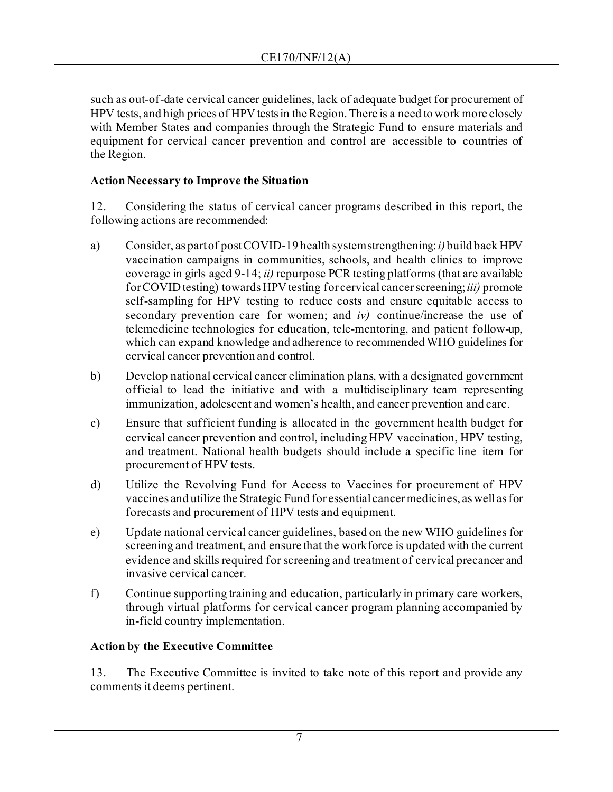such as out-of-date cervical cancer guidelines, lack of adequate budget for procurement of HPV tests, and high prices of HPV tests in the Region. There is a need to work more closely with Member States and companies through the Strategic Fund to ensure materials and equipment for cervical cancer prevention and control are accessible to countries of the Region.

# **Action Necessary to Improve the Situation**

12. Considering the status of cervical cancer programs described in this report, the following actions are recommended:

- a) Consider, as part of post COVID-19 health system strengthening: *i)* build back HPV vaccination campaigns in communities, schools, and health clinics to improve coverage in girls aged 9-14; *ii)* repurpose PCR testing platforms (that are available for COVID testing) towards HPV testing for cervical cancer screening; *iii)* promote self-sampling for HPV testing to reduce costs and ensure equitable access to secondary prevention care for women; and *iv)* continue/increase the use of telemedicine technologies for education, tele-mentoring, and patient follow-up, which can expand knowledge and adherence to recommended WHO guidelines for cervical cancer prevention and control.
- b) Develop national cervical cancer elimination plans, with a designated government official to lead the initiative and with a multidisciplinary team representing immunization, adolescent and women's health, and cancer prevention and care.
- c) Ensure that sufficient funding is allocated in the government health budget for cervical cancer prevention and control, including HPV vaccination, HPV testing, and treatment. National health budgets should include a specific line item for procurement of HPV tests.
- d) Utilize the Revolving Fund for Access to Vaccines for procurement of HPV vaccines and utilize the Strategic Fund for essential cancer medicines, as well asfor forecasts and procurement of HPV tests and equipment.
- e) Update national cervical cancer guidelines, based on the new WHO guidelines for screening and treatment, and ensure that the workforce is updated with the current evidence and skills required for screening and treatment of cervical precancer and invasive cervical cancer.
- f) Continue supporting training and education, particularly in primary care workers, through virtual platforms for cervical cancer program planning accompanied by in-field country implementation.

# **Action by the Executive Committee**

13. The Executive Committee is invited to take note of this report and provide any comments it deems pertinent.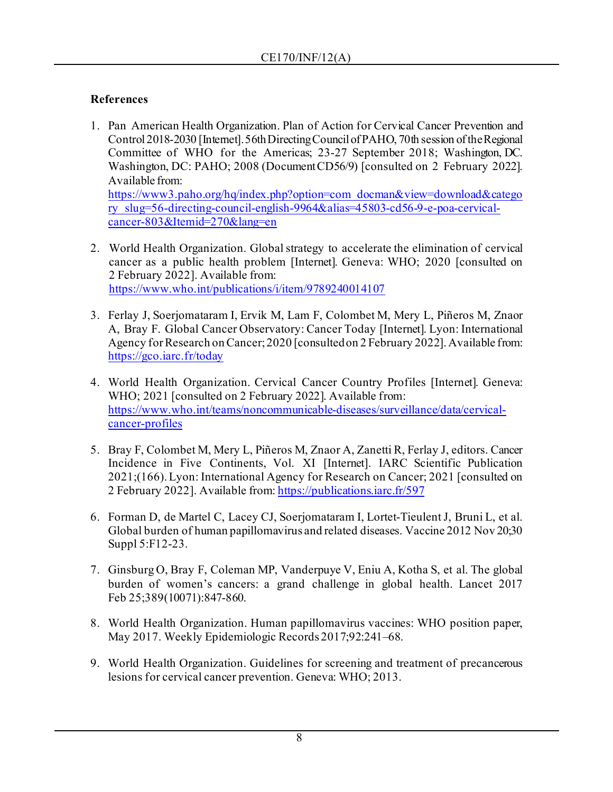# **References**

1. Pan American Health Organization. Plan of Action for Cervical Cancer Prevention and Control 2018-2030 [Internet]. 56th Directing Council of PAHO, 70th session of the Regional Committee of WHO for the Americas; 23-27 September 2018; Washington, DC. Washington, DC: PAHO; 2008 (DocumentCD56/9) [consulted on 2 February 2022]. Available from:

[https://www3.paho.org/hq/index.php?option=com\\_docman&view=download&catego](https://www3.paho.org/hq/index.php?option=com_docman&view=download&category_slug=56-directing-council-english-9964&alias=45803-cd56-9-e-poa-cervical-cancer-803&Itemid=270&lang=en) [ry\\_slug=56-directing-council-english-9964&alias=45803-cd56-9-e-poa-cervical](https://www3.paho.org/hq/index.php?option=com_docman&view=download&category_slug=56-directing-council-english-9964&alias=45803-cd56-9-e-poa-cervical-cancer-803&Itemid=270&lang=en)[cancer-803&Itemid=270&lang=en](https://www3.paho.org/hq/index.php?option=com_docman&view=download&category_slug=56-directing-council-english-9964&alias=45803-cd56-9-e-poa-cervical-cancer-803&Itemid=270&lang=en)

- 2. World Health Organization. Global strategy to accelerate the elimination of cervical cancer as a public health problem [Internet]. Geneva: WHO; 2020 [consulted on 2 February 2022]. Available from: <https://www.who.int/publications/i/item/9789240014107>
- 3. Ferlay J, Soerjomataram I, Ervik M, Lam F, Colombet M, Mery L, Piñeros M, Znaor A, Bray F. Global Cancer Observatory: Cancer Today [Internet]. Lyon: International Agency for Research on Cancer; 2020 [consulted on 2 February 2022]. Available from: <https://gco.iarc.fr/today>
- 4. World Health Organization. Cervical Cancer Country Profiles [Internet]. Geneva: WHO; 2021 [consulted on 2 February 2022]. Available from: [https://www.who.int/teams/noncommunicable-diseases/surveillance/data/cervical](https://www.who.int/teams/noncommunicable-diseases/surveillance/data/cervical-cancer-profiles)[cancer-profiles](https://www.who.int/teams/noncommunicable-diseases/surveillance/data/cervical-cancer-profiles)
- 5. Bray F, Colombet M, Mery L, Piñeros M, Znaor A, Zanetti R, Ferlay J, editors. Cancer Incidence in Five Continents, Vol. XI [Internet]. IARC Scientific Publication 2021;(166). Lyon: International Agency for Research on Cancer; 2021 [consulted on 2 February 2022]. Available from[: https://publications.iarc.fr/597](https://publications.iarc.fr/597)
- 6. Forman D, de Martel C, Lacey CJ, Soerjomataram I, Lortet-Tieulent J, Bruni L, et al. Global burden of human papillomavirus and related diseases. Vaccine 2012 Nov 20;30 Suppl 5:F12-23.
- 7. Ginsburg O, Bray F, Coleman MP, Vanderpuye V, Eniu A, Kotha S, et al. The global burden of women's cancers: a grand challenge in global health. Lancet 2017 Feb 25;389(10071):847-860.
- 8. World Health Organization. Human papillomavirus vaccines: WHO position paper, May 2017. Weekly Epidemiologic Records 2017;92:241–68.
- 9. World Health Organization. Guidelines for screening and treatment of precancerous lesions for cervical cancer prevention. Geneva: WHO; 2013.